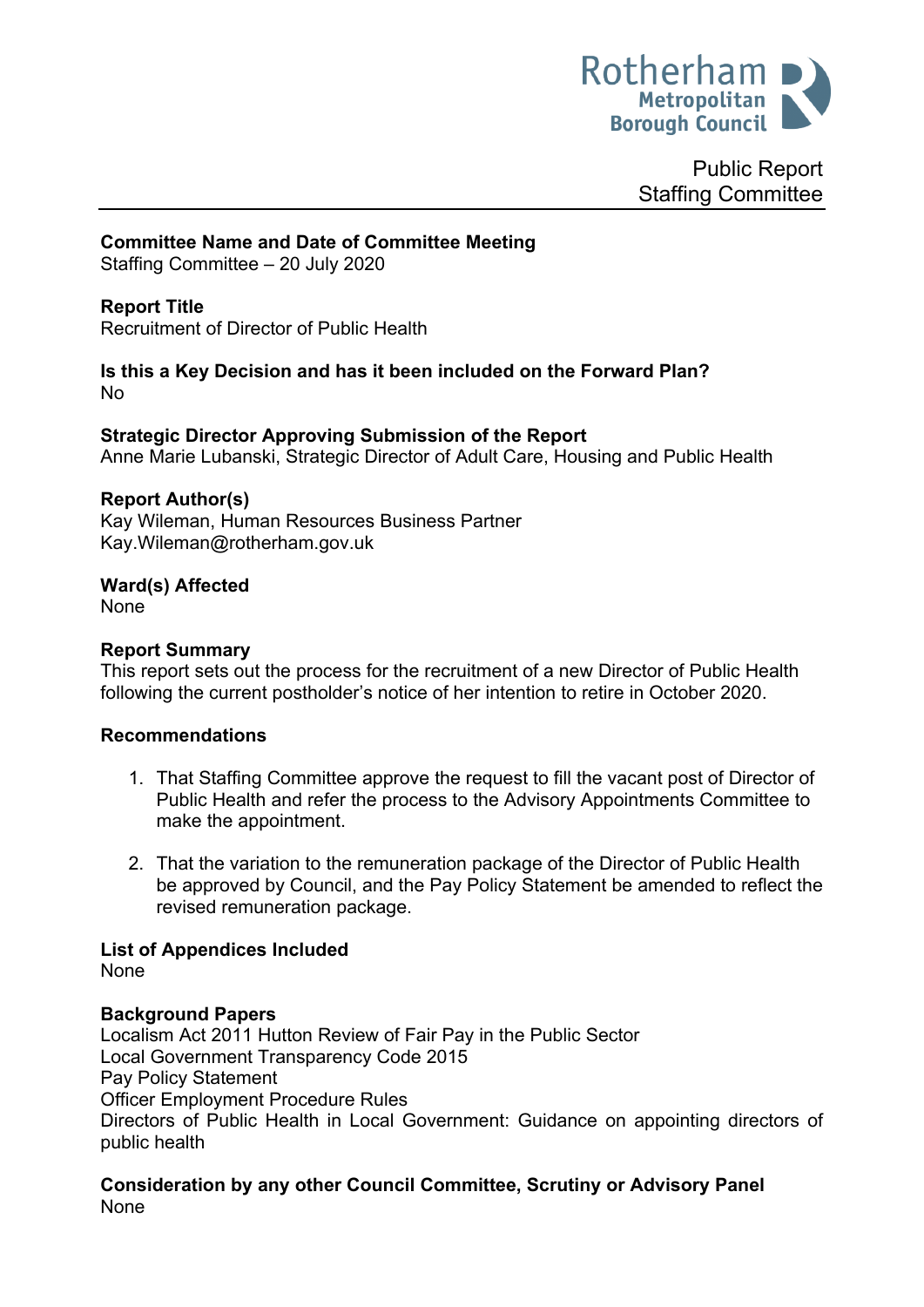

Public Report Staffing Committee

### **Committee Name and Date of Committee Meeting**

Staffing Committee – 20 July 2020

## **Report Title**

Recruitment of Director of Public Health

#### **Is this a Key Decision and has it been included on the Forward Plan?** No

**Strategic Director Approving Submission of the Report** Anne Marie Lubanski, Strategic Director of Adult Care, Housing and Public Health

#### **Report Author(s)**

Kay Wileman, Human Resources Business Partner Kay.Wileman@rotherham.gov.uk

## **Ward(s) Affected**

None

#### **Report Summary**

This report sets out the process for the recruitment of a new Director of Public Health following the current postholder's notice of her intention to retire in October 2020.

#### **Recommendations**

- 1. That Staffing Committee approve the request to fill the vacant post of Director of Public Health and refer the process to the Advisory Appointments Committee to make the appointment.
- 2. That the variation to the remuneration package of the Director of Public Health be approved by Council, and the Pay Policy Statement be amended to reflect the revised remuneration package.

### **List of Appendices Included**

None

#### **Background Papers**

Localism Act 2011 Hutton Review of Fair Pay in the Public Sector Local Government Transparency Code 2015 Pay Policy Statement Officer Employment Procedure Rules Directors of Public Health in Local Government: Guidance on appointing directors of public health

**Consideration by any other Council Committee, Scrutiny or Advisory Panel** None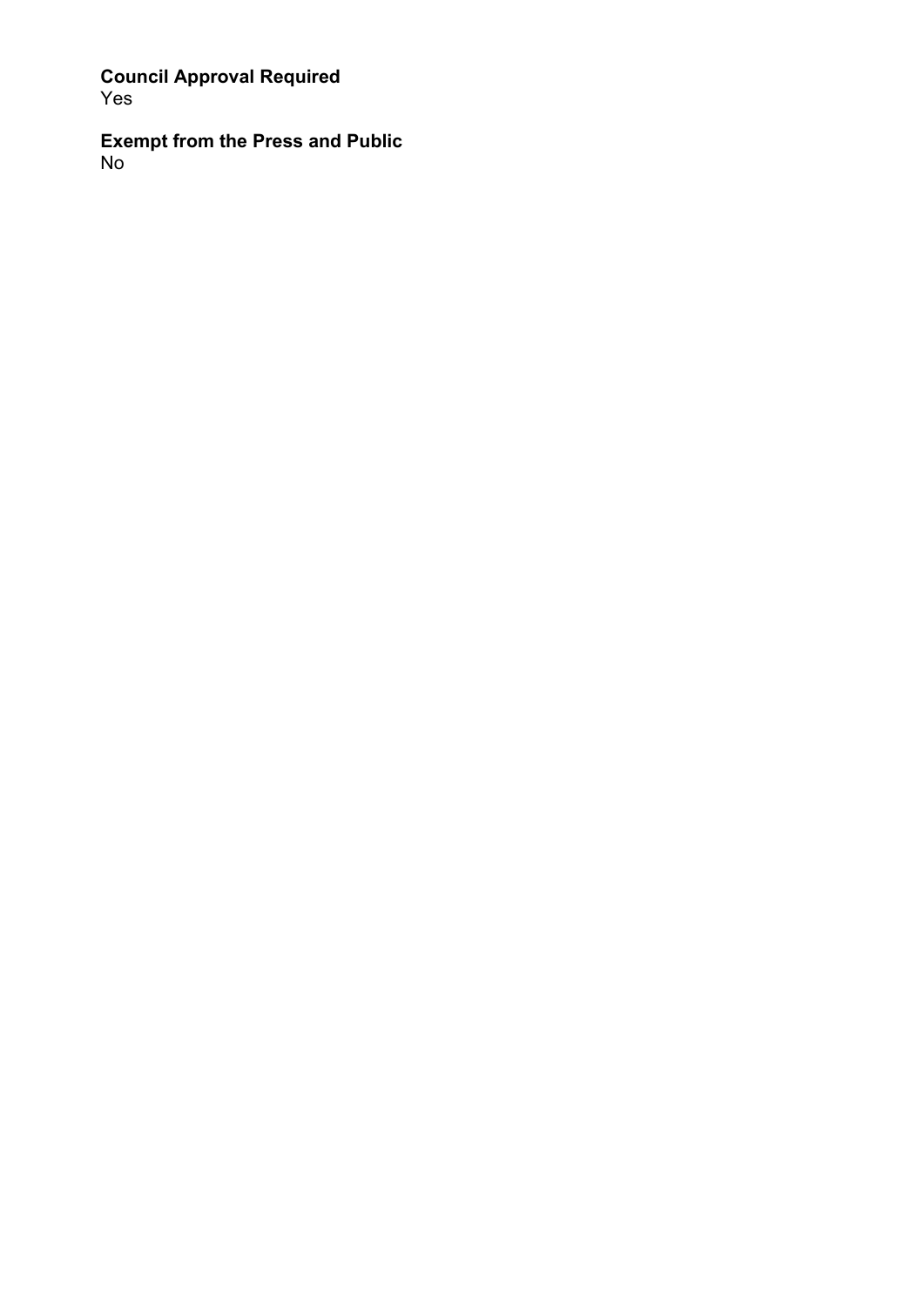**Council Approval Required** Yes

**Exempt from the Press and Public** No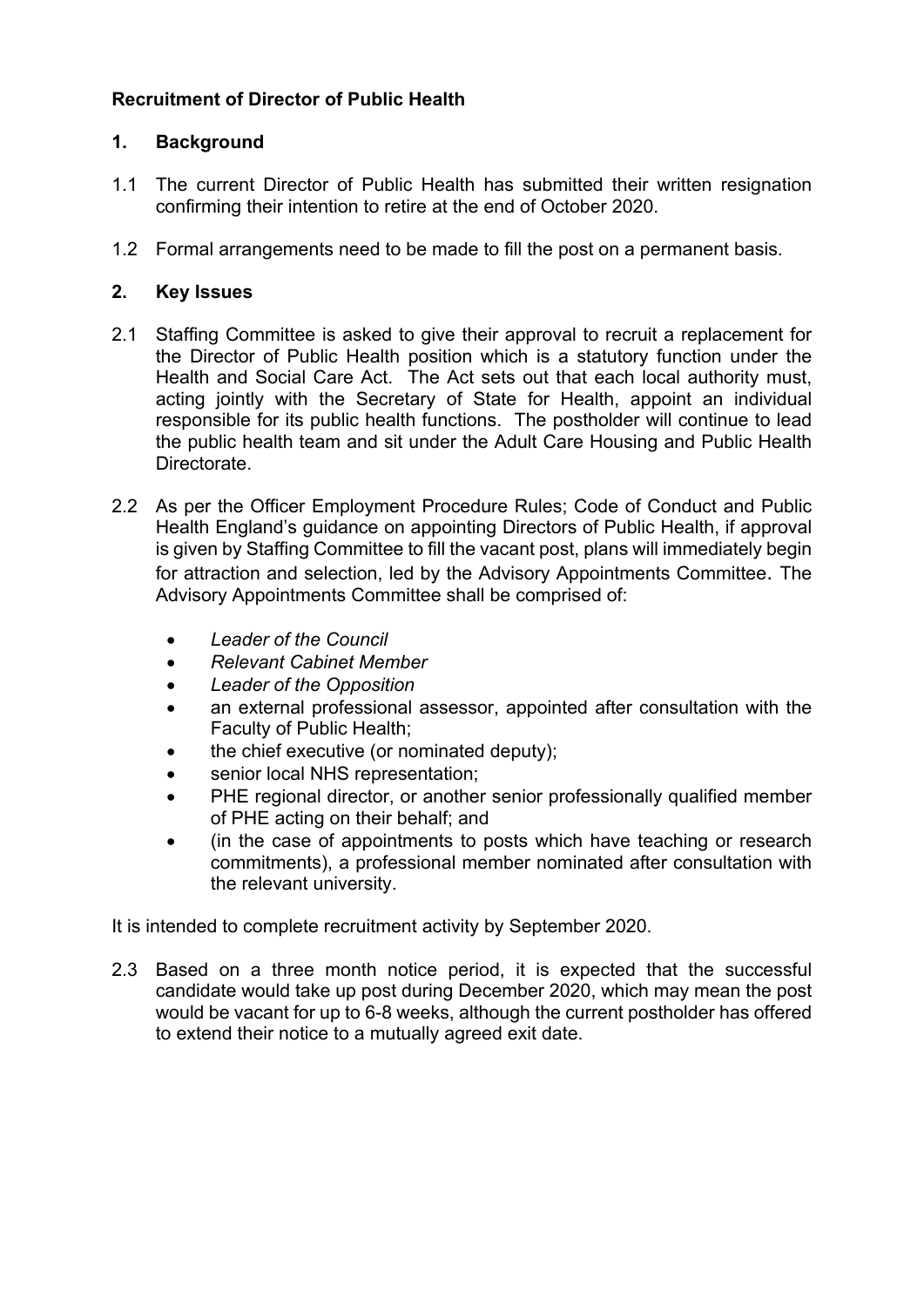# **Recruitment of Director of Public Health**

## **1. Background**

- 1.1 The current Director of Public Health has submitted their written resignation confirming their intention to retire at the end of October 2020.
- 1.2 Formal arrangements need to be made to fill the post on a permanent basis.

## **2. Key Issues**

- 2.1 Staffing Committee is asked to give their approval to recruit a replacement for the Director of Public Health position which is a statutory function under the Health and Social Care Act. The Act sets out that each local authority must, acting jointly with the Secretary of State for Health, appoint an individual responsible for its public health functions. The postholder will continue to lead the public health team and sit under the Adult Care Housing and Public Health Directorate.
- 2.2 As per the Officer Employment Procedure Rules; Code of Conduct and Public Health England's guidance on appointing Directors of Public Health, if approval is given by Staffing Committee to fill the vacant post, plans will immediately begin for attraction and selection, led by the Advisory Appointments Committee. The Advisory Appointments Committee shall be comprised of:
	- *Leader of the Council*
	- *Relevant Cabinet Member*
	- *Leader of the Opposition*
	- an external professional assessor, appointed after consultation with the Faculty of Public Health;
	- the chief executive (or nominated deputy);
	- senior local NHS representation:
	- PHE regional director, or another senior professionally qualified member of PHE acting on their behalf; and
	- (in the case of appointments to posts which have teaching or research commitments), a professional member nominated after consultation with the relevant university.

It is intended to complete recruitment activity by September 2020.

2.3 Based on a three month notice period, it is expected that the successful candidate would take up post during December 2020, which may mean the post would be vacant for up to 6-8 weeks, although the current postholder has offered to extend their notice to a mutually agreed exit date.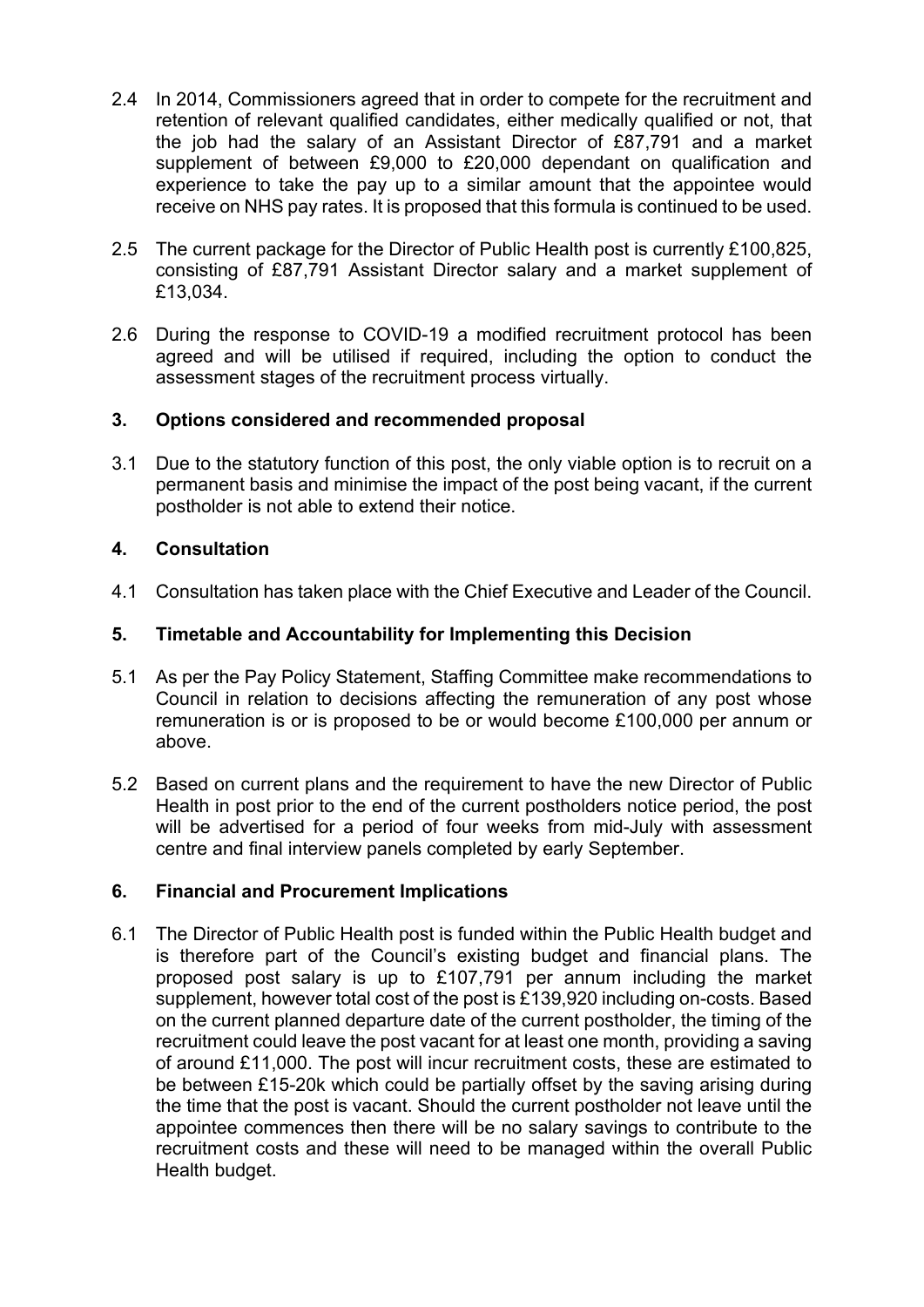- 2.4 In 2014, Commissioners agreed that in order to compete for the recruitment and retention of relevant qualified candidates, either medically qualified or not, that the job had the salary of an Assistant Director of £87,791 and a market supplement of between £9,000 to £20,000 dependant on qualification and experience to take the pay up to a similar amount that the appointee would receive on NHS pay rates. It is proposed that this formula is continued to be used.
- 2.5 The current package for the Director of Public Health post is currently £100,825, consisting of £87,791 Assistant Director salary and a market supplement of £13,034.
- 2.6 During the response to COVID-19 a modified recruitment protocol has been agreed and will be utilised if required, including the option to conduct the assessment stages of the recruitment process virtually.

## **3. Options considered and recommended proposal**

3.1 Due to the statutory function of this post, the only viable option is to recruit on a permanent basis and minimise the impact of the post being vacant, if the current postholder is not able to extend their notice.

## **4. Consultation**

4.1 Consultation has taken place with the Chief Executive and Leader of the Council.

## **5. Timetable and Accountability for Implementing this Decision**

- 5.1 As per the Pay Policy Statement, Staffing Committee make recommendations to Council in relation to decisions affecting the remuneration of any post whose remuneration is or is proposed to be or would become £100,000 per annum or above.
- 5.2 Based on current plans and the requirement to have the new Director of Public Health in post prior to the end of the current postholders notice period, the post will be advertised for a period of four weeks from mid-July with assessment centre and final interview panels completed by early September.

## **6. Financial and Procurement Implications**

6.1 The Director of Public Health post is funded within the Public Health budget and is therefore part of the Council's existing budget and financial plans. The proposed post salary is up to £107,791 per annum including the market supplement, however total cost of the post is £139,920 including on-costs. Based on the current planned departure date of the current postholder, the timing of the recruitment could leave the post vacant for at least one month, providing a saving of around £11,000. The post will incur recruitment costs, these are estimated to be between £15-20k which could be partially offset by the saving arising during the time that the post is vacant. Should the current postholder not leave until the appointee commences then there will be no salary savings to contribute to the recruitment costs and these will need to be managed within the overall Public Health budget.